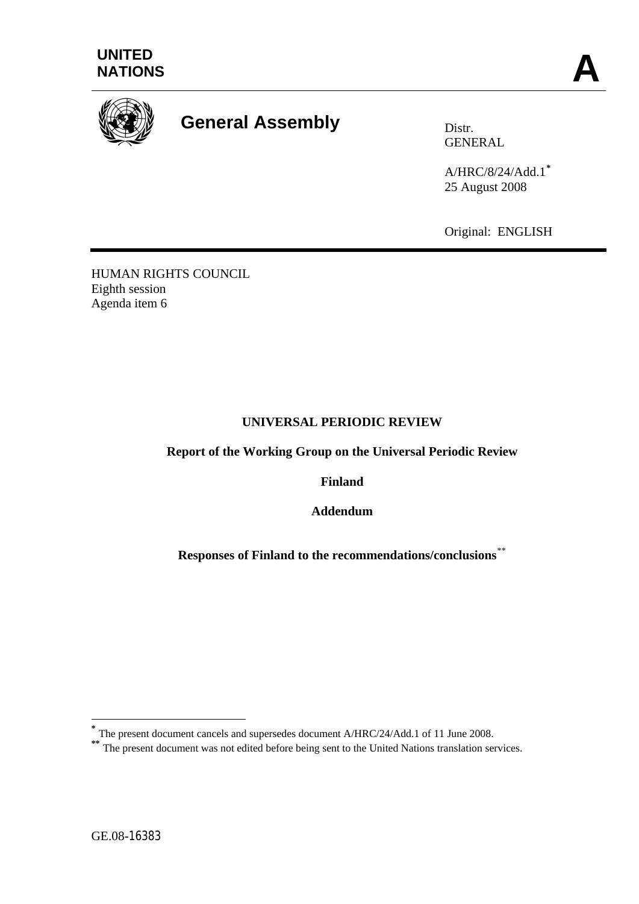



# **General Assembly** Distr.

GENERAL

A/HRC/8/24/Add.1**[\\*](#page-0-0)** 25 August 2008

Original: ENGLISH

HUMAN RIGHTS COUNCIL Eighth session Agenda item 6

## **UNIVERSAL PERIODIC REVIEW**

**Report of the Working Group on the Universal Periodic Review** 

**Finland** 

**Addendum** 

**Responses of Finland to the recommendations/conclusions**[\\*\\*](#page-0-1)

1

**<sup>\*</sup>** The present document cancels and supersedes document A/HRC/24/Add.1 of 11 June 2008.

<span id="page-0-1"></span><span id="page-0-0"></span><sup>&</sup>lt;sup>\*\*</sup> The present document was not edited before being sent to the United Nations translation services.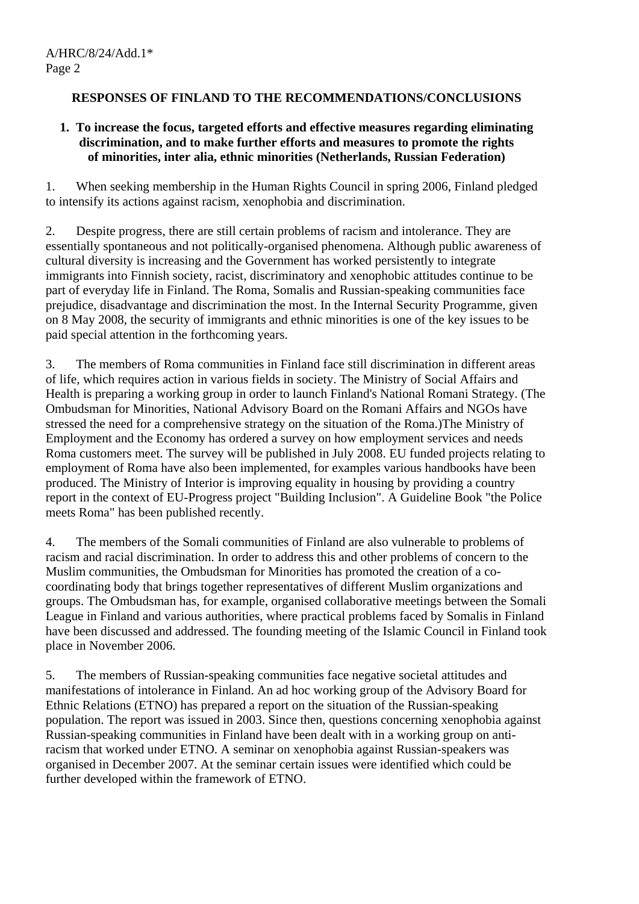# **RESPONSES OF FINLAND TO THE RECOMMENDATIONS/CONCLUSIONS**

### **1. To increase the focus, targeted efforts and effective measures regarding eliminating discrimination, and to make further efforts and measures to promote the rights of minorities, inter alia, ethnic minorities (Netherlands, Russian Federation)**

1. When seeking membership in the Human Rights Council in spring 2006, Finland pledged to intensify its actions against racism, xenophobia and discrimination.

2. Despite progress, there are still certain problems of racism and intolerance. They are essentially spontaneous and not politically-organised phenomena. Although public awareness of cultural diversity is increasing and the Government has worked persistently to integrate immigrants into Finnish society, racist, discriminatory and xenophobic attitudes continue to be part of everyday life in Finland. The Roma, Somalis and Russian-speaking communities face prejudice, disadvantage and discrimination the most. In the Internal Security Programme, given on 8 May 2008, the security of immigrants and ethnic minorities is one of the key issues to be paid special attention in the forthcoming years.

3. The members of Roma communities in Finland face still discrimination in different areas of life, which requires action in various fields in society. The Ministry of Social Affairs and Health is preparing a working group in order to launch Finland's National Romani Strategy. (The Ombudsman for Minorities, National Advisory Board on the Romani Affairs and NGOs have stressed the need for a comprehensive strategy on the situation of the Roma.)The Ministry of Employment and the Economy has ordered a survey on how employment services and needs Roma customers meet. The survey will be published in July 2008. EU funded projects relating to employment of Roma have also been implemented, for examples various handbooks have been produced. The Ministry of Interior is improving equality in housing by providing a country report in the context of EU-Progress project "Building Inclusion". A Guideline Book "the Police meets Roma" has been published recently.

4. The members of the Somali communities of Finland are also vulnerable to problems of racism and racial discrimination. In order to address this and other problems of concern to the Muslim communities, the Ombudsman for Minorities has promoted the creation of a cocoordinating body that brings together representatives of different Muslim organizations and groups. The Ombudsman has, for example, organised collaborative meetings between the Somali League in Finland and various authorities, where practical problems faced by Somalis in Finland have been discussed and addressed. The founding meeting of the Islamic Council in Finland took place in November 2006.

5. The members of Russian-speaking communities face negative societal attitudes and manifestations of intolerance in Finland. An ad hoc working group of the Advisory Board for Ethnic Relations (ETNO) has prepared a report on the situation of the Russian-speaking population. The report was issued in 2003. Since then, questions concerning xenophobia against Russian-speaking communities in Finland have been dealt with in a working group on antiracism that worked under ETNO. A seminar on xenophobia against Russian-speakers was organised in December 2007. At the seminar certain issues were identified which could be further developed within the framework of ETNO.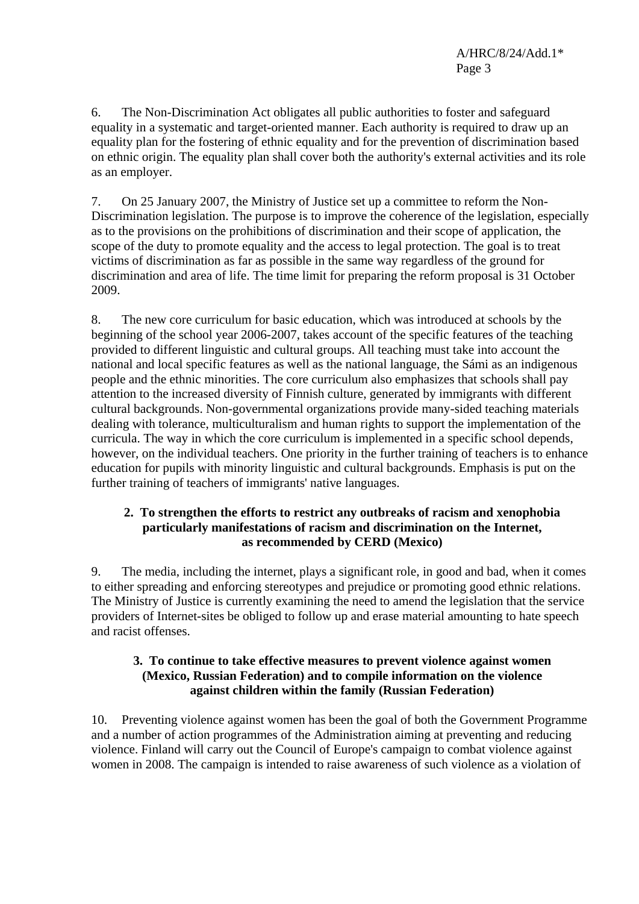6. The Non-Discrimination Act obligates all public authorities to foster and safeguard equality in a systematic and target-oriented manner. Each authority is required to draw up an equality plan for the fostering of ethnic equality and for the prevention of discrimination based on ethnic origin. The equality plan shall cover both the authority's external activities and its role as an employer.

7. On 25 January 2007, the Ministry of Justice set up a committee to reform the Non-Discrimination legislation. The purpose is to improve the coherence of the legislation, especially as to the provisions on the prohibitions of discrimination and their scope of application, the scope of the duty to promote equality and the access to legal protection. The goal is to treat victims of discrimination as far as possible in the same way regardless of the ground for discrimination and area of life. The time limit for preparing the reform proposal is 31 October 2009.

8. The new core curriculum for basic education, which was introduced at schools by the beginning of the school year 2006-2007, takes account of the specific features of the teaching provided to different linguistic and cultural groups. All teaching must take into account the national and local specific features as well as the national language, the Sámi as an indigenous people and the ethnic minorities. The core curriculum also emphasizes that schools shall pay attention to the increased diversity of Finnish culture, generated by immigrants with different cultural backgrounds. Non-governmental organizations provide many-sided teaching materials dealing with tolerance, multiculturalism and human rights to support the implementation of the curricula. The way in which the core curriculum is implemented in a specific school depends, however, on the individual teachers. One priority in the further training of teachers is to enhance education for pupils with minority linguistic and cultural backgrounds. Emphasis is put on the further training of teachers of immigrants' native languages.

### **2. To strengthen the efforts to restrict any outbreaks of racism and xenophobia particularly manifestations of racism and discrimination on the Internet, as recommended by CERD (Mexico)**

9. The media, including the internet, plays a significant role, in good and bad, when it comes to either spreading and enforcing stereotypes and prejudice or promoting good ethnic relations. The Ministry of Justice is currently examining the need to amend the legislation that the service providers of Internet-sites be obliged to follow up and erase material amounting to hate speech and racist offenses.

## **3. To continue to take effective measures to prevent violence against women (Mexico, Russian Federation) and to compile information on the violence against children within the family (Russian Federation)**

10. Preventing violence against women has been the goal of both the Government Programme and a number of action programmes of the Administration aiming at preventing and reducing violence. Finland will carry out the Council of Europe's campaign to combat violence against women in 2008. The campaign is intended to raise awareness of such violence as a violation of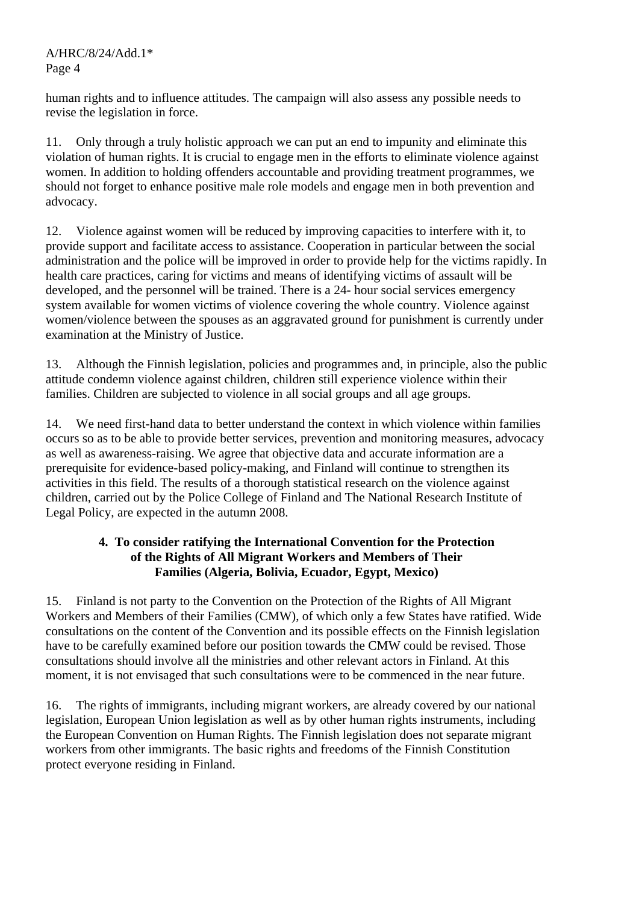A/HRC/8/24/Add.1\* Page 4

human rights and to influence attitudes. The campaign will also assess any possible needs to revise the legislation in force.

11. Only through a truly holistic approach we can put an end to impunity and eliminate this violation of human rights. It is crucial to engage men in the efforts to eliminate violence against women. In addition to holding offenders accountable and providing treatment programmes, we should not forget to enhance positive male role models and engage men in both prevention and advocacy.

12. Violence against women will be reduced by improving capacities to interfere with it, to provide support and facilitate access to assistance. Cooperation in particular between the social administration and the police will be improved in order to provide help for the victims rapidly. In health care practices, caring for victims and means of identifying victims of assault will be developed, and the personnel will be trained. There is a 24- hour social services emergency system available for women victims of violence covering the whole country. Violence against women/violence between the spouses as an aggravated ground for punishment is currently under examination at the Ministry of Justice.

13. Although the Finnish legislation, policies and programmes and, in principle, also the public attitude condemn violence against children, children still experience violence within their families. Children are subjected to violence in all social groups and all age groups.

14. We need first-hand data to better understand the context in which violence within families occurs so as to be able to provide better services, prevention and monitoring measures, advocacy as well as awareness-raising. We agree that objective data and accurate information are a prerequisite for evidence-based policy-making, and Finland will continue to strengthen its activities in this field. The results of a thorough statistical research on the violence against children, carried out by the Police College of Finland and The National Research Institute of Legal Policy, are expected in the autumn 2008.

## **4. To consider ratifying the International Convention for the Protection of the Rights of All Migrant Workers and Members of Their Families (Algeria, Bolivia, Ecuador, Egypt, Mexico)**

15. Finland is not party to the Convention on the Protection of the Rights of All Migrant Workers and Members of their Families (CMW), of which only a few States have ratified. Wide consultations on the content of the Convention and its possible effects on the Finnish legislation have to be carefully examined before our position towards the CMW could be revised. Those consultations should involve all the ministries and other relevant actors in Finland. At this moment, it is not envisaged that such consultations were to be commenced in the near future.

16. The rights of immigrants, including migrant workers, are already covered by our national legislation, European Union legislation as well as by other human rights instruments, including the European Convention on Human Rights. The Finnish legislation does not separate migrant workers from other immigrants. The basic rights and freedoms of the Finnish Constitution protect everyone residing in Finland.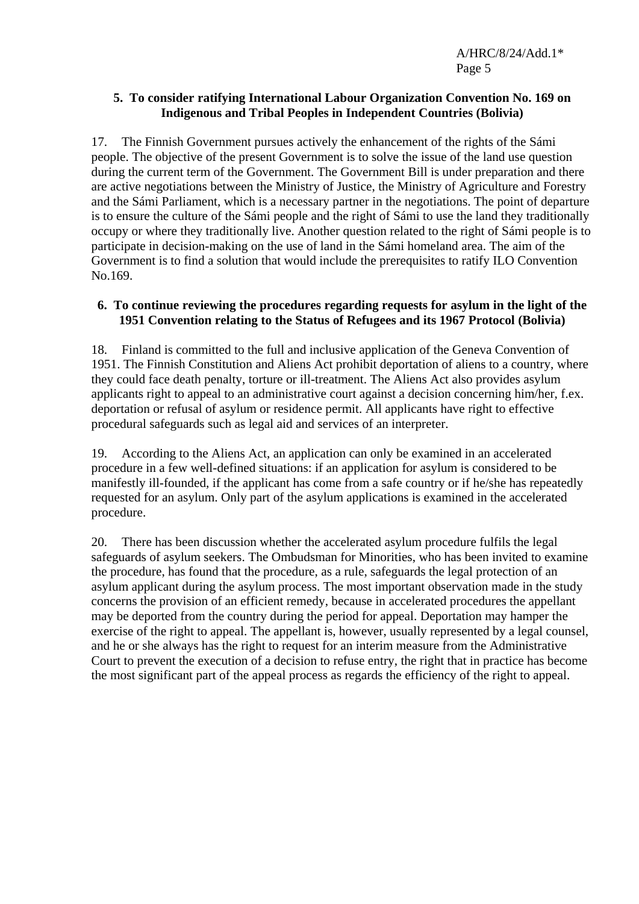A/HRC/8/24/Add.1\* Page 5

### **5. To consider ratifying International Labour Organization Convention No. 169 on Indigenous and Tribal Peoples in Independent Countries (Bolivia)**

17. The Finnish Government pursues actively the enhancement of the rights of the Sámi people. The objective of the present Government is to solve the issue of the land use question during the current term of the Government. The Government Bill is under preparation and there are active negotiations between the Ministry of Justice, the Ministry of Agriculture and Forestry and the Sámi Parliament, which is a necessary partner in the negotiations. The point of departure is to ensure the culture of the Sámi people and the right of Sámi to use the land they traditionally occupy or where they traditionally live. Another question related to the right of Sámi people is to participate in decision-making on the use of land in the Sámi homeland area. The aim of the Government is to find a solution that would include the prerequisites to ratify ILO Convention No.169.

#### **6. To continue reviewing the procedures regarding requests for asylum in the light of the 1951 Convention relating to the Status of Refugees and its 1967 Protocol (Bolivia)**

18. Finland is committed to the full and inclusive application of the Geneva Convention of 1951. The Finnish Constitution and Aliens Act prohibit deportation of aliens to a country, where they could face death penalty, torture or ill-treatment. The Aliens Act also provides asylum applicants right to appeal to an administrative court against a decision concerning him/her, f.ex. deportation or refusal of asylum or residence permit. All applicants have right to effective procedural safeguards such as legal aid and services of an interpreter.

19. According to the Aliens Act, an application can only be examined in an accelerated procedure in a few well-defined situations: if an application for asylum is considered to be manifestly ill-founded, if the applicant has come from a safe country or if he/she has repeatedly requested for an asylum. Only part of the asylum applications is examined in the accelerated procedure.

20. There has been discussion whether the accelerated asylum procedure fulfils the legal safeguards of asylum seekers. The Ombudsman for Minorities, who has been invited to examine the procedure, has found that the procedure, as a rule, safeguards the legal protection of an asylum applicant during the asylum process. The most important observation made in the study concerns the provision of an efficient remedy, because in accelerated procedures the appellant may be deported from the country during the period for appeal. Deportation may hamper the exercise of the right to appeal. The appellant is, however, usually represented by a legal counsel, and he or she always has the right to request for an interim measure from the Administrative Court to prevent the execution of a decision to refuse entry, the right that in practice has become the most significant part of the appeal process as regards the efficiency of the right to appeal.